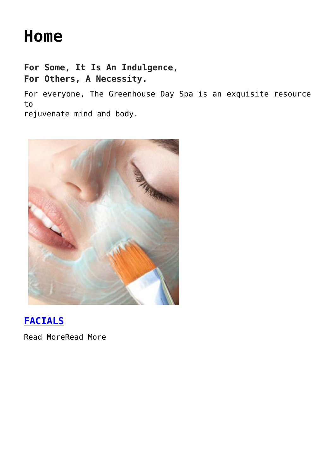# **[Home](https://thegreenhousedayspa.com/)**

**For Some, It Is An Indulgence, For Others, A Necessity.**

For everyone, The Greenhouse Day Spa is an exquisite resource to

rejuvenate mind and body.



### **[FACIALS](https://thegreenhousedayspa.com/facials/)**

Read MoreRead More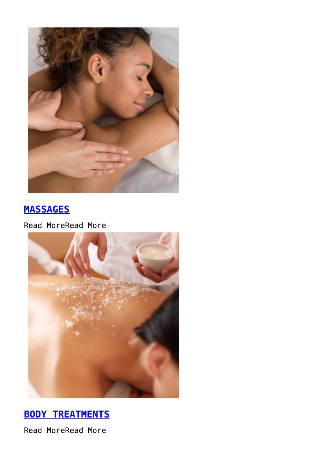

### **[MASSAGES](https://thegreenhousedayspa.com/massages/)**

Read MoreRead More



### **[BODY TREATMENTS](https://thegreenhousedayspa.com/body-treatments/)**

Read MoreRead More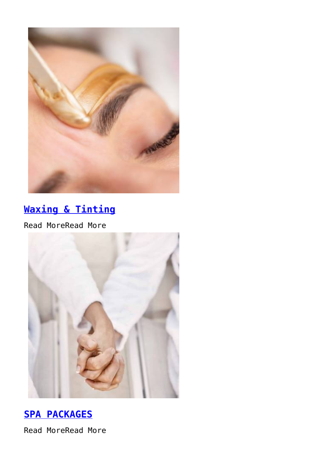

## **[Waxing & Tinting](https://thegreenhousedayspa.com/waxing-and-tinting)**

Read MoreRead More



### **[SPA PACKAGES](https://thegreenhousedayspa.com/spa-packages/)**

Read MoreRead More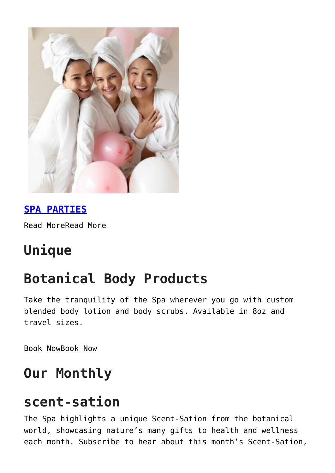

### **[SPA PARTIES](https://thegreenhousedayspa.com/spa-parties/)**

Read MoreRead More

# **Unique**

# **Botanical Body Products**

Take the tranquility of the Spa wherever you go with custom blended body lotion and body scrubs. Available in 8oz and travel sizes.

Book NowBook Now

# **Our Monthly**

# **scent-sation**

The Spa highlights a unique Scent-Sation from the botanical world, showcasing nature's many gifts to health and wellness each month. Subscribe to hear about this month's Scent-Sation,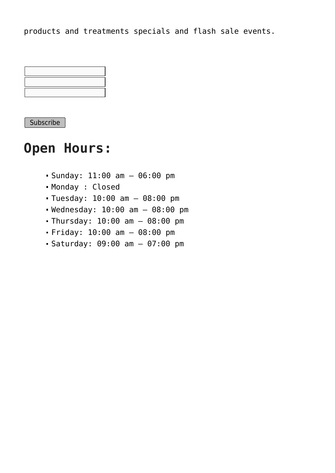products and treatments specials and flash sale events.



**Subscribe** 

## **Open Hours:**

- $\bullet$  Sunday: 11:00 am  $-$  06:00 pm
- Monday : Closed
- Tuesday: 10:00 am 08:00 pm
- Wednesday: 10:00 am 08:00 pm
- Thursday: 10:00 am 08:00 pm
- Friday: 10:00 am 08:00 pm
- Saturday: 09:00 am 07:00 pm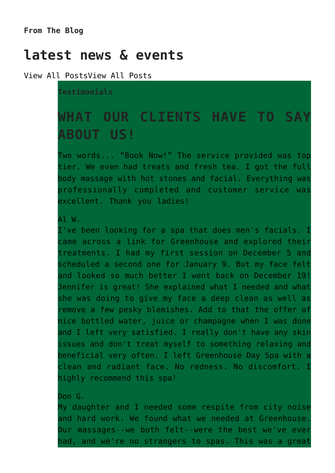**From The Blog**

## **latest news & events**

View All PostsView All Posts

**Testimonials**

## **WHAT OUR CLIENTS HAVE TO SAY ABOUT US!**

Two words... "Book Now!" The service provided was top tier. We even had treats and fresh tea. I got the full body massage with hot stones and facial. Everything was professionally completed and customer service was excellent. Thank you ladies!

Al W.

I've been looking for a spa that does men's facials. I came across a link for Greenhouse and explored their treatments. I had my first session on December 5 and scheduled a second one for January 9. But my face felt and looked so much better I went back on December 19! Jennifer is great! She explained what I needed and what she was doing to give my face a deep clean as well as remove a few pesky blemishes. Add to that the offer of nice bottled water, juice or champagne when I was done and I left very satisfied. I really don't have any skin issues and don't treat myself to something relaxing and beneficial very often. I left Greenhouse Day Spa with a clean and radiant face. No redness. No discomfort. I highly recommend this spa!

Don G.

My daughter and I needed some respite from city noise and hard work. We found what we needed at Greenhouse. Our massages--we both felt--were the best we've ever had, and we're no strangers to spas. This was a great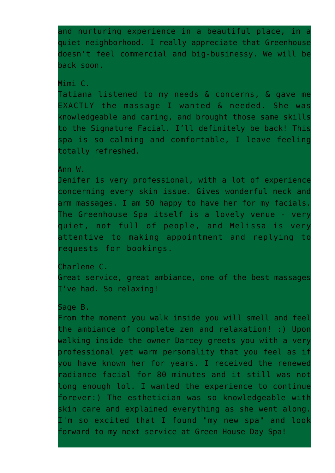and nurturing experience in a beautiful place, in a quiet neighborhood. I really appreciate that Greenhouse doesn't feel commercial and big-businessy. We will be back soon.

#### Mimi C.

Tatiana listened to my needs & concerns, & gave me EXACTLY the massage I wanted & needed. She was knowledgeable and caring, and brought those same skills to the Signature Facial. I'll definitely be back! This spa is so calming and comfortable, I leave feeling totally refreshed.

#### Ann W.

Jenifer is very professional, with a lot of experience concerning every skin issue. Gives wonderful neck and arm massages. I am SO happy to have her for my facials. The Greenhouse Spa itself is a lovely venue - very quiet, not full of people, and Melissa is very attentive to making appointment and replying to requests for bookings.

Charlene C. Great service, great ambiance, one of the best massages I've had. So relaxing!

#### Sage B.

From the moment you walk inside you will smell and feel the ambiance of complete zen and relaxation! :) Upon walking inside the owner Darcey greets you with a very professional yet warm personality that you feel as if you have known her for years. I received the renewed radiance facial for 80 minutes and it still was not long enough lol. I wanted the experience to continue forever:) The esthetician was so knowledgeable with skin care and explained everything as she went along. I'm so excited that I found "my new spa" and look forward to my next service at Green House Day Spa!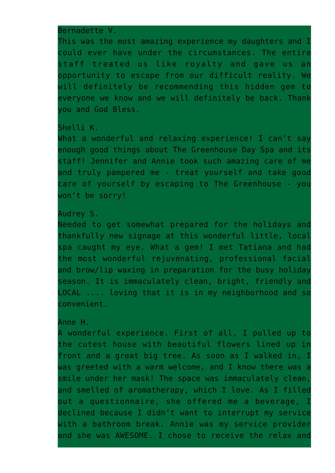Bernadette V.

This was the most amazing experience my daughters and I could ever have under the circumstances. The entire staff treated us like royalty and gave us an opportunity to escape from our difficult reality. We will definitely be recommending this hidden gem to everyone we know and we will definitely be back. Thank you and God Bless.

#### Shelli K.

What a wonderful and relaxing experience! I can't say enough good things about The Greenhouse Day Spa and its staff! Jennifer and Annie took such amazing care of me and truly pampered me - treat yourself and take good care of yourself by escaping to The Greenhouse - you won't be sorry!

### Audrey S.

Needed to get somewhat prepared for the holidays and thankfully new signage at this wonderful little, local spa caught my eye. What a gem! I met Tatiana and had the most wonderful rejuvenating, professional facial and brow/lip waxing in preparation for the busy holiday season. It is immaculately clean, bright, friendly and LOCAL .... loving that it is in my neighborhood and so convenient.

### Anne H.

A wonderful experience. First of all, I pulled up to the cutest house with beautiful flowers lined up in front and a great big tree. As soon as I walked in, I was greeted with a warm welcome, and I know there was a smile under her mask! The space was immaculately clean, and smelled of aromatherapy, which I love. As I filled out a questionnaire, she offered me a beverage, I declined because I didn't want to interrupt my service with a bathroom break. Annie was my service provider and she was AWESOME. I chose to receive the relax and